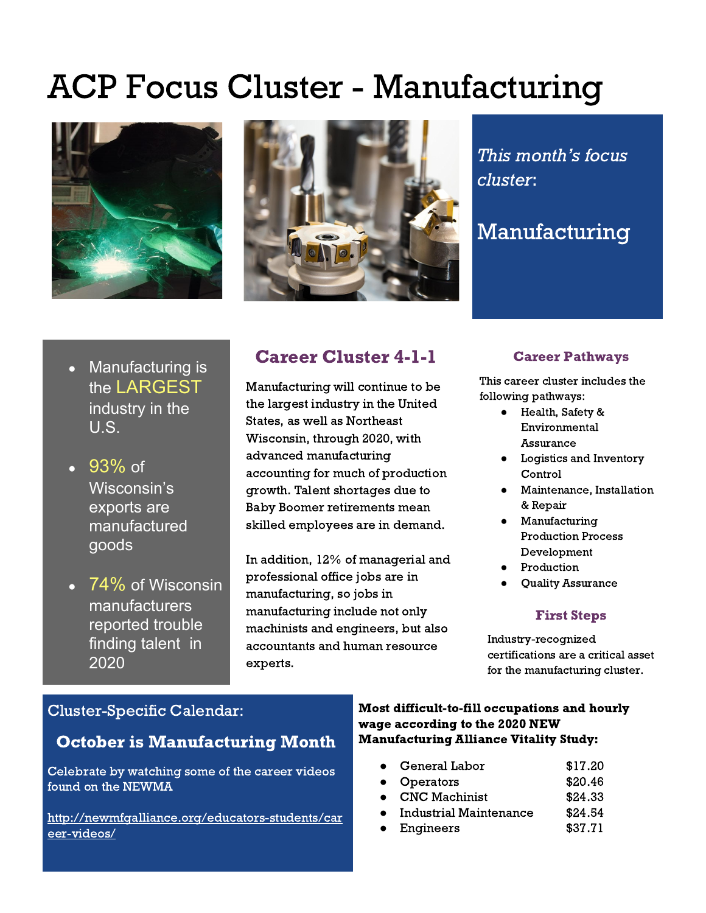# ACP Focus Cluster - Manufacturing





This month's focus cluster:

## Manufacturing

- Manufacturing is the LARGEST industry in the U.S.
- 93% of Wisconsin's exports are manufactured goods
- $\bullet$  74% of Wisconsin manufacturers reported trouble finding talent in 2020

## Career Cluster 4-1-1

Manufacturing will continue to be the largest industry in the United States, as well as Northeast Wisconsin, through 2020, with advanced manufacturing accounting for much of production growth. Talent shortages due to Baby Boomer retirements mean skilled employees are in demand.

In addition, 12% of managerial and professional office jobs are in manufacturing, so jobs in manufacturing include not only machinists and engineers, but also accountants and human resource experts.

#### Career Pathways

This career cluster includes the following pathways:

- Health, Safety & Environmental Assurance
- Logistics and Inventory Control
- Maintenance, Installation & Repair
- Manufacturing Production Process Development
- Production
- Quality Assurance

#### First Steps

Industry-recognized certifications are a critical asset for the manufacturing cluster.

### Cluster-Specific Calendar:

### October is Manufacturing Month

Celebrate by watching some of the career videos found on the NEWMA

http://newmfgalliance.org/educators-students/car eer-videos/

Most difficult-to-fill occupations and hourly wage according to the 2020 NEW Manufacturing Alliance Vitality Study:

- General Labor \$17.20
- Operators \$20.46
- CNC Machinist \$24.33
- Industrial Maintenance \$24.54
- Engineers \$37.71